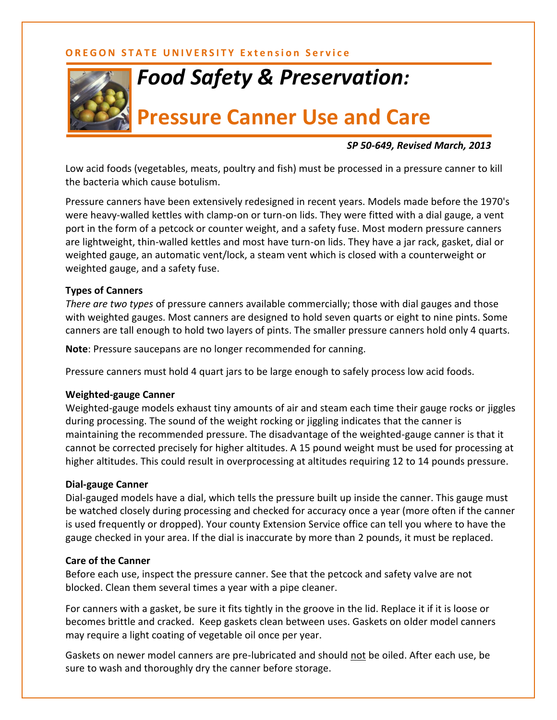## **OREGON STATE UNIVERSITY Extension Service**



# *Food Safety & Preservation:*

# **Pressure Canner Use and Care**

### *SP 50-649, Revised March, 2013*

Low acid foods (vegetables, meats, poultry and fish) must be processed in a pressure canner to kill the bacteria which cause botulism.

Pressure canners have been extensively redesigned in recent years. Models made before the 1970's were heavy-walled kettles with clamp-on or turn-on lids. They were fitted with a dial gauge, a vent port in the form of a petcock or counter weight, and a safety fuse. Most modern pressure canners are lightweight, thin-walled kettles and most have turn-on lids. They have a jar rack, gasket, dial or weighted gauge, an automatic vent/lock, a steam vent which is closed with a counterweight or weighted gauge, and a safety fuse.

#### **Types of Canners**

*There are two types* of pressure canners available commercially; those with dial gauges and those with weighted gauges. Most canners are designed to hold seven quarts or eight to nine pints. Some canners are tall enough to hold two layers of pints. The smaller pressure canners hold only 4 quarts.

**Note**: Pressure saucepans are no longer recommended for canning.

Pressure canners must hold 4 quart jars to be large enough to safely process low acid foods.

#### **Weighted-gauge Canner**

Weighted-gauge models exhaust tiny amounts of air and steam each time their gauge rocks or jiggles during processing. The sound of the weight rocking or jiggling indicates that the canner is maintaining the recommended pressure. The disadvantage of the weighted-gauge canner is that it cannot be corrected precisely for higher altitudes. A 15 pound weight must be used for processing at higher altitudes. This could result in overprocessing at altitudes requiring 12 to 14 pounds pressure.

### **Dial-gauge Canner**

Dial-gauged models have a dial, which tells the pressure built up inside the canner. This gauge must be watched closely during processing and checked for accuracy once a year (more often if the canner is used frequently or dropped). Your county Extension Service office can tell you where to have the gauge checked in your area. If the dial is inaccurate by more than 2 pounds, it must be replaced.

#### **Care of the Canner**

Before each use, inspect the pressure canner. See that the petcock and safety valve are not blocked. Clean them several times a year with a pipe cleaner.

For canners with a gasket, be sure it fits tightly in the groove in the lid. Replace it if it is loose or becomes brittle and cracked. Keep gaskets clean between uses. Gaskets on older model canners may require a light coating of vegetable oil once per year.

Gaskets on newer model canners are pre-lubricated and should not be oiled. After each use, be sure to wash and thoroughly dry the canner before storage.